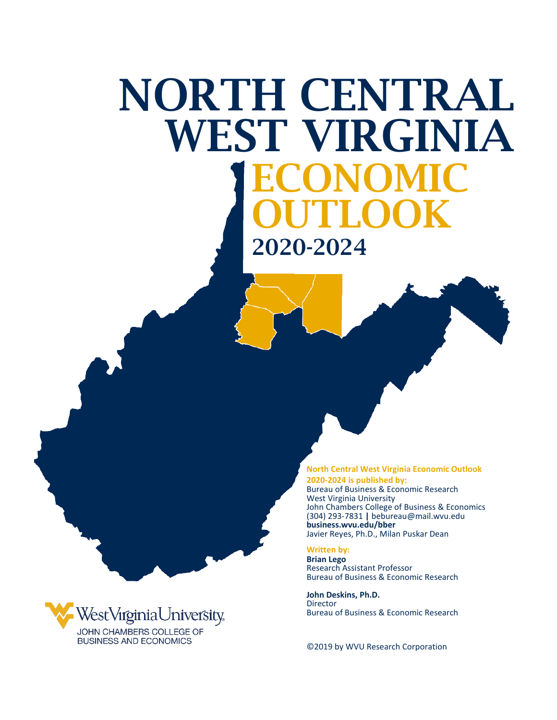# ECONOMIC OUTLOOK 2020-2024 NORTH CENTRAL WEST VIRGINIA

**North Central West Virginia Economic Outlook** 

**2020-2024 is published by:** Bureau of Business & Economic Research West Virginia University John Chambers College of Business & Economics (304) 293-7831 **|** bebureau@mail.wvu.edu **business.wvu.edu/bber** Javier Reyes, Ph.D., Milan Puskar Dean

#### **Written by:**

**Brian Lego** Research Assistant Professor Bureau of Business & Economic Research

**John Deskins, Ph.D.** Director Bureau of Business & Economic Research

©2019 by WVU Research Corporation

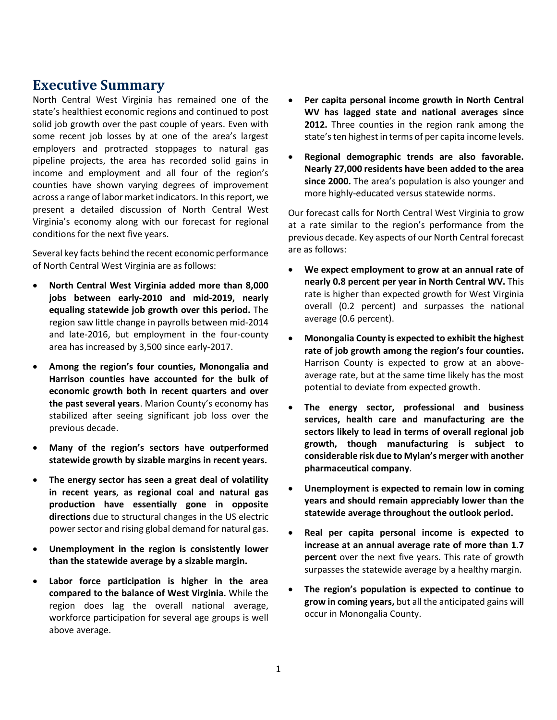# **Executive Summary**

North Central West Virginia has remained one of the state's healthiest economic regions and continued to post solid job growth over the past couple of years. Even with some recent job losses by at one of the area's largest employers and protracted stoppages to natural gas pipeline projects, the area has recorded solid gains in income and employment and all four of the region's counties have shown varying degrees of improvement across a range of labor market indicators. In this report, we present a detailed discussion of North Central West Virginia's economy along with our forecast for regional conditions for the next five years.

Several key facts behind the recent economic performance of North Central West Virginia are as follows:

- **North Central West Virginia added more than 8,000 jobs between early-2010 and mid-2019, nearly equaling statewide job growth over this period.** The region saw little change in payrolls between mid-2014 and late-2016, but employment in the four-county area has increased by 3,500 since early-2017.
- **Among the region's four counties, Monongalia and Harrison counties have accounted for the bulk of economic growth both in recent quarters and over the past several years**. Marion County's economy has stabilized after seeing significant job loss over the previous decade.
- **Many of the region's sectors have outperformed statewide growth by sizable margins in recent years.**
- **The energy sector has seen a great deal of volatility in recent years**, **as regional coal and natural gas production have essentially gone in opposite directions** due to structural changes in the US electric power sector and rising global demand for natural gas.
- **Unemployment in the region is consistently lower than the statewide average by a sizable margin.**
- **Labor force participation is higher in the area compared to the balance of West Virginia.** While the region does lag the overall national average, workforce participation for several age groups is well above average.
- **Per capita personal income growth in North Central WV has lagged state and national averages since 2012.** Three counties in the region rank among the state's ten highest in terms of per capita income levels.
- **Regional demographic trends are also favorable. Nearly 27,000 residents have been added to the area since 2000.** The area's population is also younger and more highly-educated versus statewide norms.

Our forecast calls for North Central West Virginia to grow at a rate similar to the region's performance from the previous decade. Key aspects of our North Central forecast are as follows:

- **We expect employment to grow at an annual rate of nearly 0.8 percent per year in North Central WV.** This rate is higher than expected growth for West Virginia overall (0.2 percent) and surpasses the national average (0.6 percent).
- **Monongalia County is expected to exhibit the highest rate of job growth among the region's four counties.**  Harrison County is expected to grow at an aboveaverage rate, but at the same time likely has the most potential to deviate from expected growth.
- **The energy sector, professional and business services, health care and manufacturing are the sectors likely to lead in terms of overall regional job growth, though manufacturing is subject to considerable risk due to Mylan's merger with another pharmaceutical company**.
- **Unemployment is expected to remain low in coming years and should remain appreciably lower than the statewide average throughout the outlook period.**
- **Real per capita personal income is expected to increase at an annual average rate of more than 1.7 percent** over the next five years. This rate of growth surpasses the statewide average by a healthy margin.
- **The region's population is expected to continue to grow in coming years,** but all the anticipated gains will occur in Monongalia County.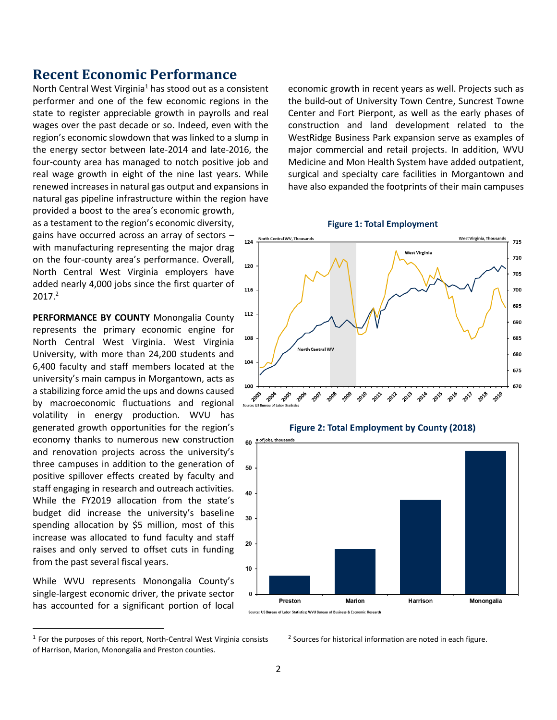## **Recent Economic Performance**

North Central West Virginia<sup>1</sup> has stood out as a consistent performer and one of the few economic regions in the state to register appreciable growth in payrolls and real wages over the past decade or so. Indeed, even with the region's economic slowdown that was linked to a slump in the energy sector between late-2014 and late-2016, the four-county area has managed to notch positive job and real wage growth in eight of the nine last years. While renewed increases in natural gas output and expansions in natural gas pipeline infrastructure within the region have provided a boost to the area's economic growth, as a testament to the region's economic diversity, gains have occurred across an array of sectors –  $124$ with manufacturing representing the major drag on the four-county area's performance. Overall,  $120$ North Central West Virginia employers have added nearly 4,000 jobs since the first quarter of

**PERFORMANCE BY COUNTY** Monongalia County represents the primary economic engine for North Central West Virginia. West Virginia University, with more than 24,200 students and 6,400 faculty and staff members located at the university's main campus in Morgantown, acts as a stabilizing force amid the ups and downs caused by macroeconomic fluctuations and regional volatility in energy production. WVU has generated growth opportunities for the region's economy thanks to numerous new construction and renovation projects across the university's three campuses in addition to the generation of positive spillover effects created by faculty and staff engaging in research and outreach activities. While the FY2019 allocation from the state's budget did increase the university's baseline spending allocation by \$5 million, most of this increase was allocated to fund faculty and staff raises and only served to offset cuts in funding from the past several fiscal years.

 $2017.<sup>2</sup>$ 

 $\overline{\phantom{a}}$ 

While WVU represents Monongalia County's single-largest economic driver, the private sector has accounted for a significant portion of local

economic growth in recent years as well. Projects such as the build-out of University Town Centre, Suncrest Towne Center and Fort Pierpont, as well as the early phases of construction and land development related to the WestRidge Business Park expansion serve as examples of major commercial and retail projects. In addition, WVU Medicine and Mon Health System have added outpatient, surgical and specialty care facilities in Morgantown and have also expanded the footprints of their main campuses





<sup>2</sup> Sources for historical information are noted in each figure.

 $<sup>1</sup>$  For the purposes of this report, North-Central West Virginia consists</sup> of Harrison, Marion, Monongalia and Preston counties.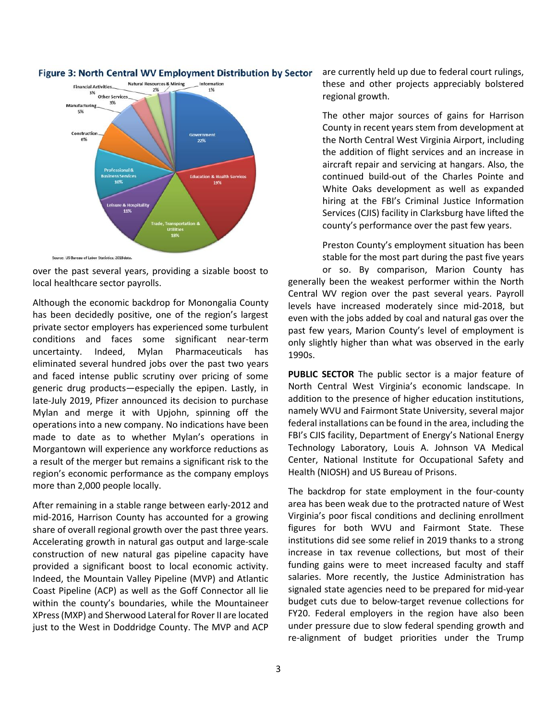

### Figure 3: North Central WV Employment Distribution by Sector

over the past several years, providing a sizable boost to local healthcare sector payrolls.

Although the economic backdrop for Monongalia County has been decidedly positive, one of the region's largest private sector employers has experienced some turbulent conditions and faces some significant near-term uncertainty. Indeed, Mylan Pharmaceuticals has eliminated several hundred jobs over the past two years and faced intense public scrutiny over pricing of some generic drug products—especially the epipen. Lastly, in late-July 2019, Pfizer announced its decision to purchase Mylan and merge it with Upjohn, spinning off the operations into a new company. No indications have been made to date as to whether Mylan's operations in Morgantown will experience any workforce reductions as a result of the merger but remains a significant risk to the region's economic performance as the company employs more than 2,000 people locally.

After remaining in a stable range between early-2012 and mid-2016, Harrison County has accounted for a growing share of overall regional growth over the past three years. Accelerating growth in natural gas output and large-scale construction of new natural gas pipeline capacity have provided a significant boost to local economic activity. Indeed, the Mountain Valley Pipeline (MVP) and Atlantic Coast Pipeline (ACP) as well as the Goff Connector all lie within the county's boundaries, while the Mountaineer XPress (MXP) and Sherwood Lateral for Rover II are located just to the West in Doddridge County. The MVP and ACP are currently held up due to federal court rulings, these and other projects appreciably bolstered regional growth.

The other major sources of gains for Harrison County in recent years stem from development at the North Central West Virginia Airport, including the addition of flight services and an increase in aircraft repair and servicing at hangars. Also, the continued build-out of the Charles Pointe and White Oaks development as well as expanded hiring at the FBI's Criminal Justice Information Services (CJIS) facility in Clarksburg have lifted the county's performance over the past few years.

Preston County's employment situation has been stable for the most part during the past five years or so. By comparison, Marion County has generally been the weakest performer within the North Central WV region over the past several years. Payroll levels have increased moderately since mid-2018, but even with the jobs added by coal and natural gas over the past few years, Marion County's level of employment is only slightly higher than what was observed in the early 1990s.

**PUBLIC SECTOR** The public sector is a major feature of North Central West Virginia's economic landscape. In addition to the presence of higher education institutions, namely WVU and Fairmont State University, several major federal installations can be found in the area, including the FBI's CJIS facility, Department of Energy's National Energy Technology Laboratory, Louis A. Johnson VA Medical Center, National Institute for Occupational Safety and Health (NIOSH) and US Bureau of Prisons.

The backdrop for state employment in the four-county area has been weak due to the protracted nature of West Virginia's poor fiscal conditions and declining enrollment figures for both WVU and Fairmont State. These institutions did see some relief in 2019 thanks to a strong increase in tax revenue collections, but most of their funding gains were to meet increased faculty and staff salaries. More recently, the Justice Administration has signaled state agencies need to be prepared for mid-year budget cuts due to below-target revenue collections for FY20. Federal employers in the region have also been under pressure due to slow federal spending growth and re-alignment of budget priorities under the Trump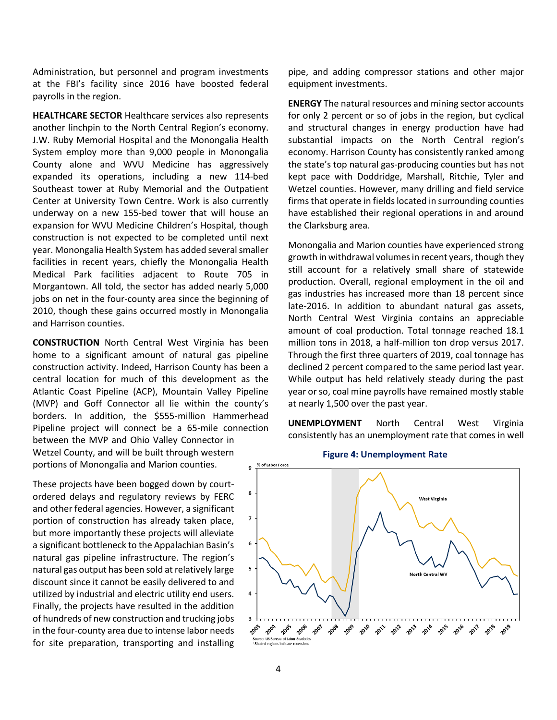Administration, but personnel and program investments at the FBI's facility since 2016 have boosted federal payrolls in the region.

**HEALTHCARE SECTOR** Healthcare services also represents another linchpin to the North Central Region's economy. J.W. Ruby Memorial Hospital and the Monongalia Health System employ more than 9,000 people in Monongalia County alone and WVU Medicine has aggressively expanded its operations, including a new 114-bed Southeast tower at Ruby Memorial and the Outpatient Center at University Town Centre. Work is also currently underway on a new 155-bed tower that will house an expansion for WVU Medicine Children's Hospital, though construction is not expected to be completed until next year. Monongalia Health System has added several smaller facilities in recent years, chiefly the Monongalia Health Medical Park facilities adjacent to Route 705 in Morgantown. All told, the sector has added nearly 5,000 jobs on net in the four-county area since the beginning of 2010, though these gains occurred mostly in Monongalia and Harrison counties.

**CONSTRUCTION** North Central West Virginia has been home to a significant amount of natural gas pipeline construction activity. Indeed, Harrison County has been a central location for much of this development as the Atlantic Coast Pipeline (ACP), Mountain Valley Pipeline (MVP) and Goff Connector all lie within the county's borders. In addition, the \$555-million Hammerhead Pipeline project will connect be a 65-mile connection between the MVP and Ohio Valley Connector in Wetzel County, and will be built through western portions of Monongalia and Marion counties.

These projects have been bogged down by courtordered delays and regulatory reviews by FERC and other federal agencies. However, a significant portion of construction has already taken place, but more importantly these projects will alleviate a significant bottleneck to the Appalachian Basin's natural gas pipeline infrastructure. The region's natural gas output has been sold at relatively large discount since it cannot be easily delivered to and utilized by industrial and electric utility end users. Finally, the projects have resulted in the addition of hundreds of new construction and trucking jobs in the four-county area due to intense labor needs for site preparation, transporting and installing pipe, and adding compressor stations and other major equipment investments.

**ENERGY** The natural resources and mining sector accounts for only 2 percent or so of jobs in the region, but cyclical and structural changes in energy production have had substantial impacts on the North Central region's economy. Harrison County has consistently ranked among the state's top natural gas-producing counties but has not kept pace with Doddridge, Marshall, Ritchie, Tyler and Wetzel counties. However, many drilling and field service firms that operate in fields located in surrounding counties have established their regional operations in and around the Clarksburg area.

Monongalia and Marion counties have experienced strong growth in withdrawal volumes in recent years, though they still account for a relatively small share of statewide production. Overall, regional employment in the oil and gas industries has increased more than 18 percent since late-2016. In addition to abundant natural gas assets, North Central West Virginia contains an appreciable amount of coal production. Total tonnage reached 18.1 million tons in 2018, a half-million ton drop versus 2017. Through the first three quarters of 2019, coal tonnage has declined 2 percent compared to the same period last year. While output has held relatively steady during the past year or so, coal mine payrolls have remained mostly stable at nearly 1,500 over the past year.

**UNEMPLOYMENT** North Central West Virginia consistently has an unemployment rate that comes in well



#### **Figure 4: Unemployment Rate**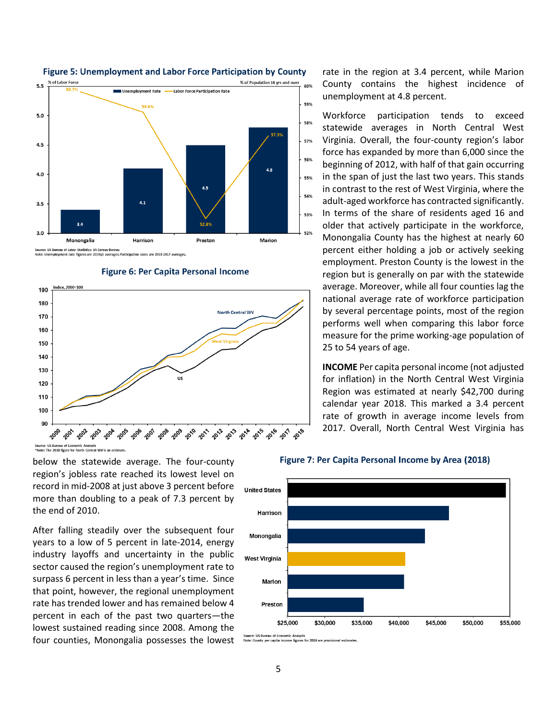

#### **Figure 5: Unemployment and Labor Force Participation by County**



**Figure 6: Per Capita Personal Income** 

below the statewide average. The four-county region's jobless rate reached its lowest level on record in mid-2008 at just above 3 percent before more than doubling to a peak of 7.3 percent by the end of 2010.

After falling steadily over the subsequent four years to a low of 5 percent in late-2014, energy industry layoffs and uncertainty in the public sector caused the region's unemployment rate to surpass 6 percent in less than a year's time. Since that point, however, the regional unemployment rate has trended lower and has remained below 4 percent in each of the past two quarters—the lowest sustained reading since 2008. Among the four counties, Monongalia possesses the lowest rate in the region at 3.4 percent, while Marion County contains the highest incidence of unemployment at 4.8 percent.

Workforce participation tends to exceed statewide averages in North Central West Virginia. Overall, the four-county region's labor force has expanded by more than 6,000 since the beginning of 2012, with half of that gain occurring in the span of just the last two years. This stands in contrast to the rest of West Virginia, where the adult-aged workforce has contracted significantly. In terms of the share of residents aged 16 and older that actively participate in the workforce, Monongalia County has the highest at nearly 60 percent either holding a job or actively seeking employment. Preston County is the lowest in the region but is generally on par with the statewide average. Moreover, while all four counties lag the national average rate of workforce participation by several percentage points, most of the region performs well when comparing this labor force measure for the prime working-age population of 25 to 54 years of age.

**INCOME** Per capita personal income (not adjusted for inflation) in the North Central West Virginia Region was estimated at nearly \$42,700 during calendar year 2018. This marked a 3.4 percent rate of growth in average income levels from 2017. Overall, North Central West Virginia has

#### Figure 7: Per Capita Personal Income by Area (2018)



rce: US Bureau of Economic Analysis<br>:: County per capita income figures for 2018 are provisional estin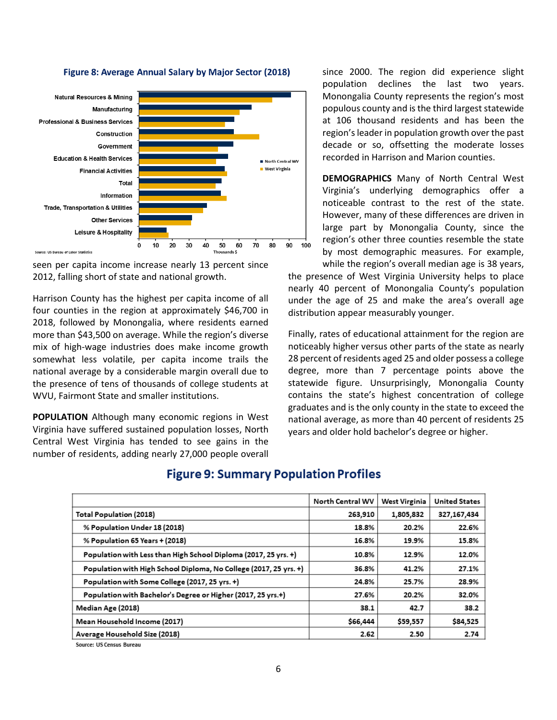

#### Figure 8: Average Annual Salary by Major Sector (2018)

.<br>Source: US Bureau of Labor Statistics

seen per capita income increase nearly 13 percent since 2012, falling short of state and national growth.

Harrison County has the highest per capita income of all four counties in the region at approximately \$46,700 in 2018, followed by Monongalia, where residents earned more than \$43,500 on average. While the region's diverse mix of high-wage industries does make income growth somewhat less volatile, per capita income trails the national average by a considerable margin overall due to the presence of tens of thousands of college students at WVU, Fairmont State and smaller institutions.

**POPULATION** Although many economic regions in West Virginia have suffered sustained population losses, North Central West Virginia has tended to see gains in the number of residents, adding nearly 27,000 people overall since 2000. The region did experience slight population declines the last two years. Monongalia County represents the region's most populous county and is the third largest statewide at 106 thousand residents and has been the region's leader in population growth over the past decade or so, offsetting the moderate losses recorded in Harrison and Marion counties.

**DEMOGRAPHICS** Many of North Central West Virginia's underlying demographics offer a noticeable contrast to the rest of the state. However, many of these differences are driven in large part by Monongalia County, since the region's other three counties resemble the state by most demographic measures. For example,

while the region's overall median age is 38 years, the presence of West Virginia University helps to place nearly 40 percent of Monongalia County's population under the age of 25 and make the area's overall age distribution appear measurably younger.

Finally, rates of educational attainment for the region are noticeably higher versus other parts of the state as nearly 28 percent of residents aged 25 and older possess a college degree, more than 7 percentage points above the statewide figure. Unsurprisingly, Monongalia County contains the state's highest concentration of college graduates and is the only county in the state to exceed the national average, as more than 40 percent of residents 25 years and older hold bachelor's degree or higher.

|                                                                   | North Central WV | <b>West Virginia</b> | <b>United States</b> |
|-------------------------------------------------------------------|------------------|----------------------|----------------------|
| <b>Total Population (2018)</b>                                    | 263,910          | 1,805,832            | 327,167,434          |
| % Population Under 18 (2018)                                      | 18.8%            | 20.2%                | 22.6%                |
| % Population 65 Years + (2018)                                    | 16.8%            | 19.9%                | 15.8%                |
| Population with Less than High School Diploma (2017, 25 yrs. +)   | 10.8%            | 12.9%                | 12.0%                |
| Population with High School Diploma, No College (2017, 25 yrs. +) | 36.8%            | 41.2%                | 27.1%                |
| Population with Some College (2017, 25 yrs. +)                    | 24.8%            | 25.7%                | 28.9%                |
| Population with Bachelor's Degree or Higher (2017, 25 yrs.+)      | 27.6%            | 20.2%                | 32.0%                |
| Median Age (2018)                                                 | 38.1             | 42.7                 | 38.2                 |
| Mean Household Income (2017)                                      | \$66,444         | \$59,557             | \$84,525             |
| Average Household Size (2018)                                     | 2.62             | 2.50                 | 2.74                 |

## **Figure 9: Summary Population Profiles**

Source: US Census Bureau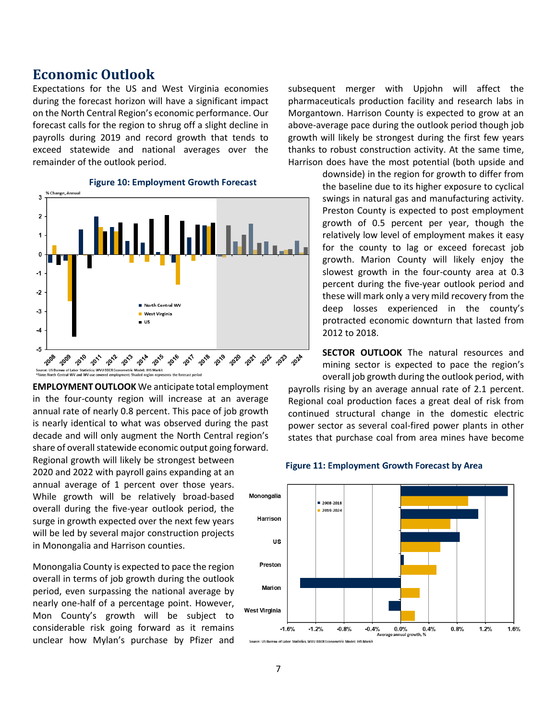## **Economic Outlook**

Expectations for the US and West Virginia economies during the forecast horizon will have a significant impact on the North Central Region's economic performance. Our forecast calls for the region to shrug off a slight decline in payrolls during 2019 and record growth that tends to exceed statewide and national averages over the remainder of the outlook period.



**EMPLOYMENT OUTLOOK** We anticipate total employment in the four-county region will increase at an average annual rate of nearly 0.8 percent. This pace of job growth is nearly identical to what was observed during the past decade and will only augment the North Central region's share of overall statewide economic output going forward. Regional growth will likely be strongest between 2020 and 2022 with payroll gains expanding at an annual average of 1 percent over those years. While growth will be relatively broad-based overall during the five-year outlook period, the surge in growth expected over the next few years will be led by several major construction projects

Monongalia County is expected to pace the region overall in terms of job growth during the outlook period, even surpassing the national average by nearly one-half of a percentage point. However, Mon County's growth will be subject to considerable risk going forward as it remains unclear how Mylan's purchase by Pfizer and

in Monongalia and Harrison counties.

subsequent merger with Upjohn will affect the pharmaceuticals production facility and research labs in Morgantown. Harrison County is expected to grow at an above-average pace during the outlook period though job growth will likely be strongest during the first few years thanks to robust construction activity. At the same time, Harrison does have the most potential (both upside and

> downside) in the region for growth to differ from the baseline due to its higher exposure to cyclical swings in natural gas and manufacturing activity. Preston County is expected to post employment growth of 0.5 percent per year, though the relatively low level of employment makes it easy for the county to lag or exceed forecast job growth. Marion County will likely enjoy the slowest growth in the four-county area at 0.3 percent during the five-year outlook period and these will mark only a very mild recovery from the deep losses experienced in the county's protracted economic downturn that lasted from 2012 to 2018.

> **SECTOR OUTLOOK** The natural resources and mining sector is expected to pace the region's overall job growth during the outlook period, with

payrolls rising by an average annual rate of 2.1 percent. Regional coal production faces a great deal of risk from continued structural change in the domestic electric power sector as several coal-fired power plants in other states that purchase coal from area mines have become



#### **Figure 11: Employment Growth Forecast by Area**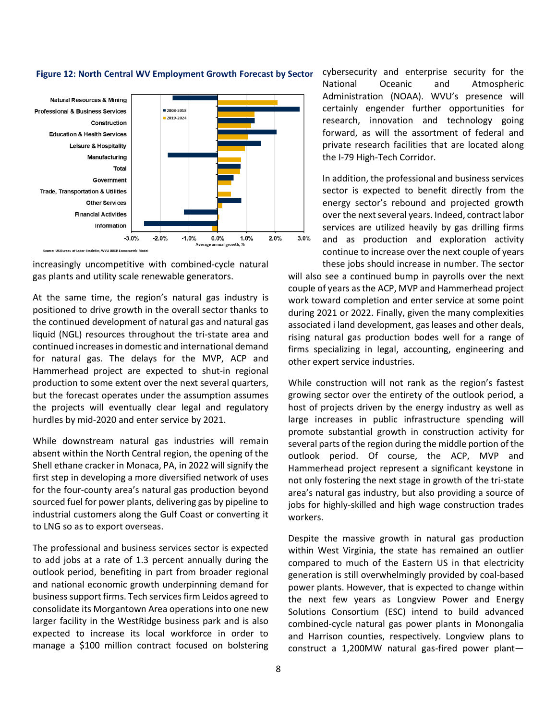

## Figure 12: North Central WV Employment Growth Forecast by Sector

increasingly uncompetitive with combined-cycle natural gas plants and utility scale renewable generators.

At the same time, the region's natural gas industry is positioned to drive growth in the overall sector thanks to the continued development of natural gas and natural gas liquid (NGL) resources throughout the tri-state area and continued increases in domestic and international demand for natural gas. The delays for the MVP, ACP and Hammerhead project are expected to shut-in regional production to some extent over the next several quarters, but the forecast operates under the assumption assumes the projects will eventually clear legal and regulatory hurdles by mid-2020 and enter service by 2021.

While downstream natural gas industries will remain absent within the North Central region, the opening of the Shell ethane cracker in Monaca, PA, in 2022 will signify the first step in developing a more diversified network of uses for the four-county area's natural gas production beyond sourced fuel for power plants, delivering gas by pipeline to industrial customers along the Gulf Coast or converting it to LNG so as to export overseas.

The professional and business services sector is expected to add jobs at a rate of 1.3 percent annually during the outlook period, benefiting in part from broader regional and national economic growth underpinning demand for business support firms. Tech services firm Leidos agreed to consolidate its Morgantown Area operations into one new larger facility in the WestRidge business park and is also expected to increase its local workforce in order to manage a \$100 million contract focused on bolstering

cybersecurity and enterprise security for the National Oceanic and Atmospheric Administration (NOAA). WVU's presence will certainly engender further opportunities for research, innovation and technology going forward, as will the assortment of federal and private research facilities that are located along the I-79 High-Tech Corridor.

In addition, the professional and business services sector is expected to benefit directly from the energy sector's rebound and projected growth over the next several years. Indeed, contract labor services are utilized heavily by gas drilling firms and as production and exploration activity continue to increase over the next couple of years these jobs should increase in number. The sector

will also see a continued bump in payrolls over the next couple of years as the ACP, MVP and Hammerhead project work toward completion and enter service at some point during 2021 or 2022. Finally, given the many complexities associated i land development, gas leases and other deals, rising natural gas production bodes well for a range of firms specializing in legal, accounting, engineering and other expert service industries.

While construction will not rank as the region's fastest growing sector over the entirety of the outlook period, a host of projects driven by the energy industry as well as large increases in public infrastructure spending will promote substantial growth in construction activity for several parts of the region during the middle portion of the outlook period. Of course, the ACP, MVP and Hammerhead project represent a significant keystone in not only fostering the next stage in growth of the tri-state area's natural gas industry, but also providing a source of jobs for highly-skilled and high wage construction trades workers.

Despite the massive growth in natural gas production within West Virginia, the state has remained an outlier compared to much of the Eastern US in that electricity generation is still overwhelmingly provided by coal-based power plants. However, that is expected to change within the next few years as Longview Power and Energy Solutions Consortium (ESC) intend to build advanced combined-cycle natural gas power plants in Monongalia and Harrison counties, respectively. Longview plans to construct a 1,200MW natural gas-fired power plant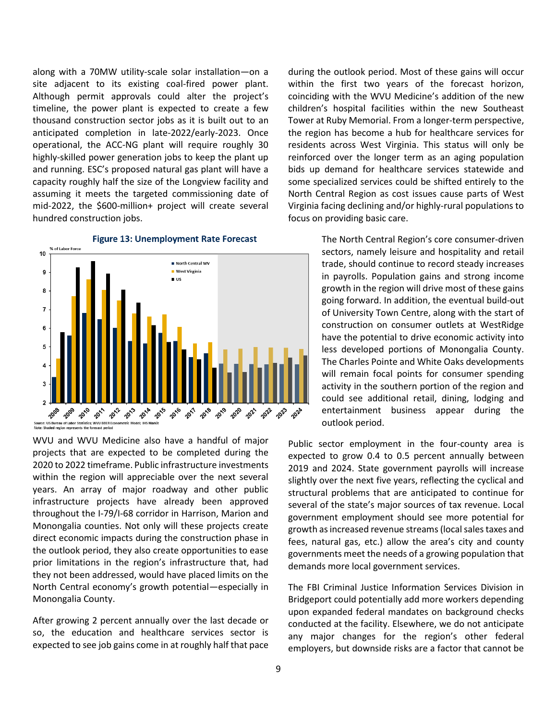along with a 70MW utility-scale solar installation—on a site adjacent to its existing coal-fired power plant. Although permit approvals could alter the project's timeline, the power plant is expected to create a few thousand construction sector jobs as it is built out to an anticipated completion in late-2022/early-2023. Once operational, the ACC-NG plant will require roughly 30 highly-skilled power generation jobs to keep the plant up and running. ESC's proposed natural gas plant will have a capacity roughly half the size of the Longview facility and assuming it meets the targeted commissioning date of mid-2022, the \$600-million+ project will create several hundred construction jobs.



**Figure 13: Unemployment Rate Forecast** 

WVU and WVU Medicine also have a handful of major projects that are expected to be completed during the 2020 to 2022 timeframe. Public infrastructure investments within the region will appreciable over the next several years. An array of major roadway and other public infrastructure projects have already been approved throughout the I-79/I-68 corridor in Harrison, Marion and Monongalia counties. Not only will these projects create direct economic impacts during the construction phase in the outlook period, they also create opportunities to ease prior limitations in the region's infrastructure that, had they not been addressed, would have placed limits on the North Central economy's growth potential—especially in Monongalia County.

After growing 2 percent annually over the last decade or so, the education and healthcare services sector is expected to see job gains come in at roughly half that pace during the outlook period. Most of these gains will occur within the first two years of the forecast horizon, coinciding with the WVU Medicine's addition of the new children's hospital facilities within the new Southeast Tower at Ruby Memorial. From a longer-term perspective, the region has become a hub for healthcare services for residents across West Virginia. This status will only be reinforced over the longer term as an aging population bids up demand for healthcare services statewide and some specialized services could be shifted entirely to the North Central Region as cost issues cause parts of West Virginia facing declining and/or highly-rural populations to focus on providing basic care.

> The North Central Region's core consumer-driven sectors, namely leisure and hospitality and retail trade, should continue to record steady increases in payrolls. Population gains and strong income growth in the region will drive most of these gains going forward. In addition, the eventual build-out of University Town Centre, along with the start of construction on consumer outlets at WestRidge have the potential to drive economic activity into less developed portions of Monongalia County. The Charles Pointe and White Oaks developments will remain focal points for consumer spending activity in the southern portion of the region and could see additional retail, dining, lodging and entertainment business appear during the outlook period.

Public sector employment in the four-county area is expected to grow 0.4 to 0.5 percent annually between 2019 and 2024. State government payrolls will increase slightly over the next five years, reflecting the cyclical and structural problems that are anticipated to continue for several of the state's major sources of tax revenue. Local government employment should see more potential for growth as increased revenue streams (local sales taxes and fees, natural gas, etc.) allow the area's city and county governments meet the needs of a growing population that demands more local government services.

The FBI Criminal Justice Information Services Division in Bridgeport could potentially add more workers depending upon expanded federal mandates on background checks conducted at the facility. Elsewhere, we do not anticipate any major changes for the region's other federal employers, but downside risks are a factor that cannot be